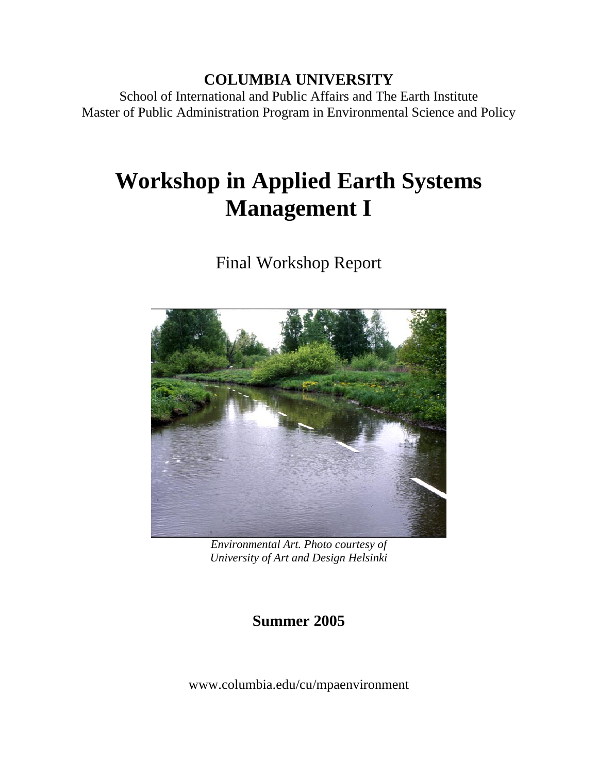## **COLUMBIA UNIVERSITY**

School of International and Public Affairs and The Earth Institute Master of Public Administration Program in Environmental Science and Policy

# **Workshop in Applied Earth Systems Management I**

Final Workshop Report



*Environmental Art. Photo courtesy of University of Art and Design Helsinki* 

**Summer 2005** 

www.columbia.edu/cu/mpaenvironment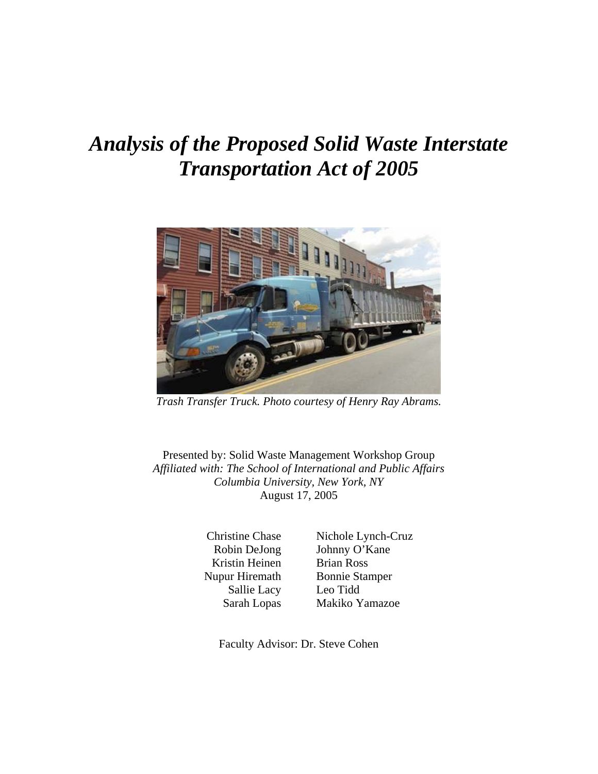## *Analysis of the Proposed Solid Waste Interstate Transportation Act of 2005*



*Trash Transfer Truck. Photo courtesy of Henry Ray Abrams.* 

Presented by: Solid Waste Management Workshop Group *Affiliated with: The School of International and Public Affairs Columbia University, New York, NY*  August 17, 2005

> Christine Chase Robin DeJong Kristin Heinen Nupur Hiremath Sallie Lacy Sarah Lopas

Nichole Lynch-Cruz Johnny O'Kane Brian Ross Bonnie Stamper Leo Tidd Makiko Yamazoe

Faculty Advisor: Dr. Steve Cohen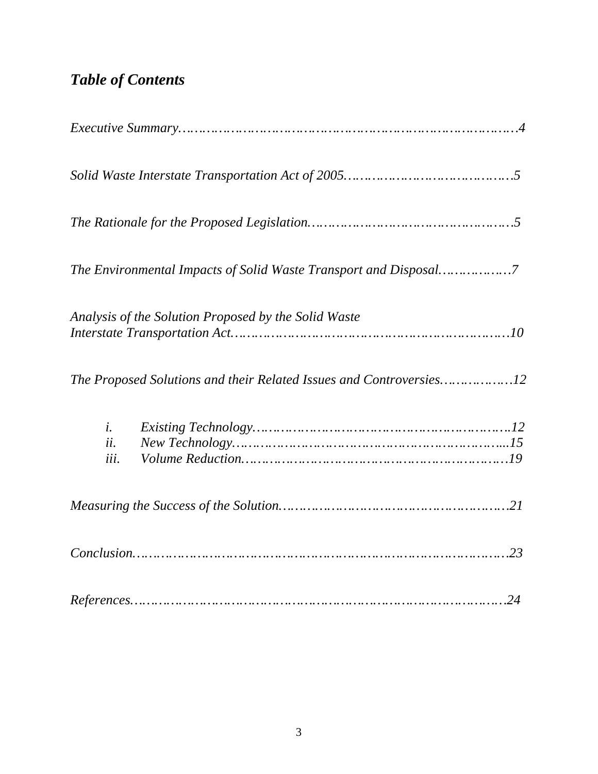## *Table of Contents*

|                            | Analysis of the Solution Proposed by the Solid Waste                |
|----------------------------|---------------------------------------------------------------------|
|                            | The Proposed Solutions and their Related Issues and Controversies12 |
| $\dot{i}$ .<br>ii.<br>iii. |                                                                     |
|                            |                                                                     |
|                            |                                                                     |
|                            |                                                                     |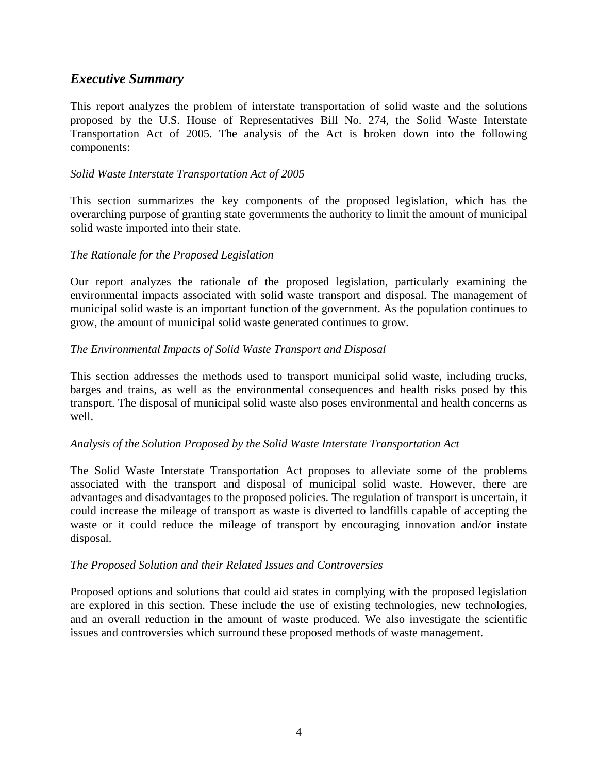## *Executive Summary*

This report analyzes the problem of interstate transportation of solid waste and the solutions proposed by the U.S. House of Representatives Bill No. 274, the Solid Waste Interstate Transportation Act of 2005. The analysis of the Act is broken down into the following components:

#### *Solid Waste Interstate Transportation Act of 2005*

This section summarizes the key components of the proposed legislation, which has the overarching purpose of granting state governments the authority to limit the amount of municipal solid waste imported into their state.

#### *The Rationale for the Proposed Legislation*

Our report analyzes the rationale of the proposed legislation, particularly examining the environmental impacts associated with solid waste transport and disposal. The management of municipal solid waste is an important function of the government. As the population continues to grow, the amount of municipal solid waste generated continues to grow.

#### *The Environmental Impacts of Solid Waste Transport and Disposal*

This section addresses the methods used to transport municipal solid waste, including trucks, barges and trains, as well as the environmental consequences and health risks posed by this transport. The disposal of municipal solid waste also poses environmental and health concerns as well.

#### *Analysis of the Solution Proposed by the Solid Waste Interstate Transportation Act*

The Solid Waste Interstate Transportation Act proposes to alleviate some of the problems associated with the transport and disposal of municipal solid waste. However, there are advantages and disadvantages to the proposed policies. The regulation of transport is uncertain, it could increase the mileage of transport as waste is diverted to landfills capable of accepting the waste or it could reduce the mileage of transport by encouraging innovation and/or instate disposal.

#### *The Proposed Solution and their Related Issues and Controversies*

Proposed options and solutions that could aid states in complying with the proposed legislation are explored in this section. These include the use of existing technologies, new technologies, and an overall reduction in the amount of waste produced. We also investigate the scientific issues and controversies which surround these proposed methods of waste management.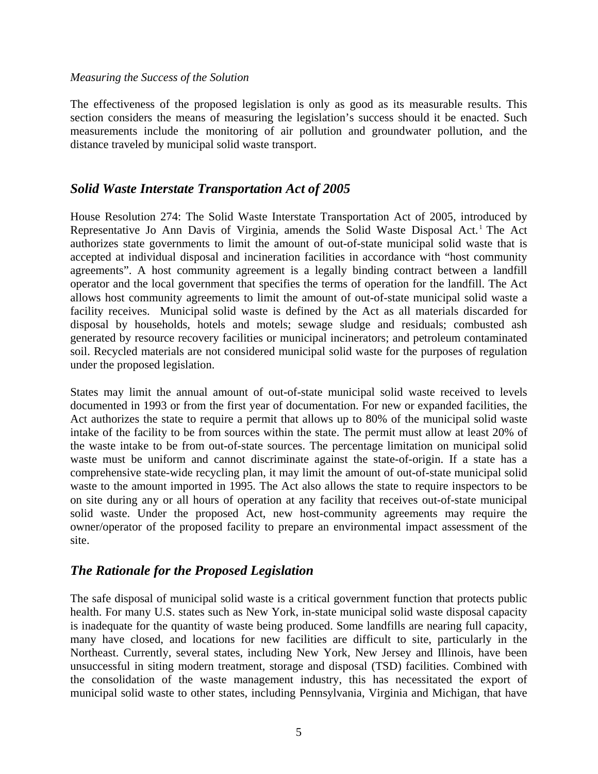#### *Measuring the Success of the Solution*

The effectiveness of the proposed legislation is only as good as its measurable results. This section considers the means of measuring the legislation's success should it be enacted. Such measurements include the monitoring of air pollution and groundwater pollution, and the distance traveled by municipal solid waste transport.

## *Solid Waste Interstate Transportation Act of 2005*

House Resolution 274: The Solid Waste Interstate Transportation Act of 2005, introduced by Representative Jo Ann Davis of Virginia, amends the Solid Waste Disposal Act.<sup>1</sup> The Act authorizes state governments to limit the amount of out-of-state municipal solid waste that is accepted at individual disposal and incineration facilities in accordance with "host community agreements". A host community agreement is a legally binding contract between a landfill operator and the local government that specifies the terms of operation for the landfill. The Act allows host community agreements to limit the amount of out-of-state municipal solid waste a facility receives. Municipal solid waste is defined by the Act as all materials discarded for disposal by households, hotels and motels; sewage sludge and residuals; combusted ash generated by resource recovery facilities or municipal incinerators; and petroleum contaminated soil. Recycled materials are not considered municipal solid waste for the purposes of regulation under the proposed legislation.

States may limit the annual amount of out-of-state municipal solid waste received to levels documented in 1993 or from the first year of documentation. For new or expanded facilities, the Act authorizes the state to require a permit that allows up to 80% of the municipal solid waste intake of the facility to be from sources within the state. The permit must allow at least 20% of the waste intake to be from out-of-state sources. The percentage limitation on municipal solid waste must be uniform and cannot discriminate against the state-of-origin. If a state has a comprehensive state-wide recycling plan, it may limit the amount of out-of-state municipal solid waste to the amount imported in 1995. The Act also allows the state to require inspectors to be on site during any or all hours of operation at any facility that receives out-of-state municipal solid waste. Under the proposed Act, new host-community agreements may require the owner/operator of the proposed facility to prepare an environmental impact assessment of the site.

## *The Rationale for the Proposed Legislation*

The safe disposal of municipal solid waste is a critical government function that protects public health. For many U.S. states such as New York, in-state municipal solid waste disposal capacity is inadequate for the quantity of waste being produced. Some landfills are nearing full capacity, many have closed, and locations for new facilities are difficult to site, particularly in the Northeast. Currently, several states, including New York, New Jersey and Illinois, have been unsuccessful in siting modern treatment, storage and disposal (TSD) facilities. Combined with the consolidation of the waste management industry, this has necessitated the export of municipal solid waste to other states, including Pennsylvania, Virginia and Michigan, that have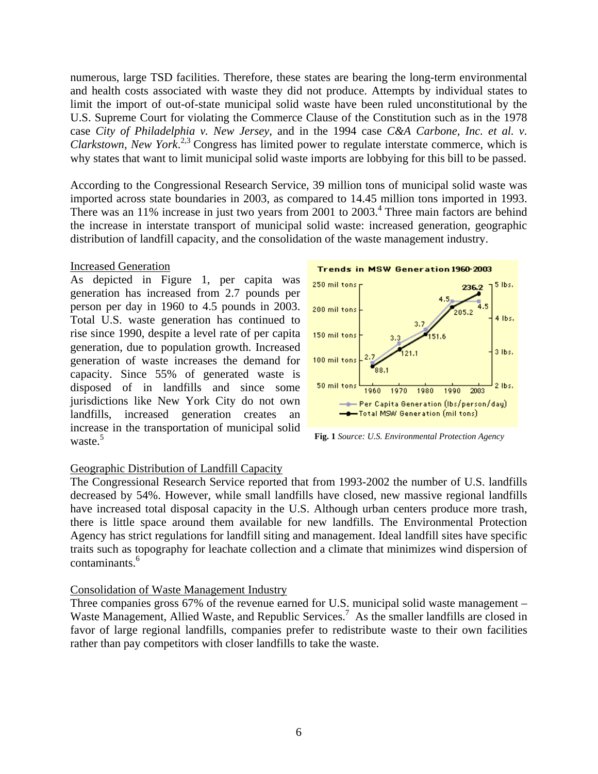numerous, large TSD facilities. Therefore, these states are bearing the long-term environmental and health costs associated with waste they did not produce. Attempts by individual states to limit the import of out-of-state municipal solid waste have been ruled unconstitutional by the U.S. Supreme Court for violating the Commerce Clause of the Constitution such as in the 1978 case *City of Philadelphia v. New Jersey*, and in the 1994 case *C&A Carbone, Inc. et al. v. Clarkstown, New York*. 2,3 Congress has limited power to regulate interstate commerce, which is why states that want to limit municipal solid waste imports are lobbying for this bill to be passed.

According to the Congressional Research Service, 39 million tons of municipal solid waste was imported across state boundaries in 2003, as compared to 14.45 million tons imported in 1993. There was an 11% increase in just two years from  $2001$  to  $2003.<sup>4</sup>$  Three main factors are behind the increase in interstate transport of municipal solid waste: increased generation, geographic distribution of landfill capacity, and the consolidation of the waste management industry.

#### Increased Generation

As depicted in Figure 1, per capita was generation has increased from 2.7 pounds per person per day in 1960 to 4.5 pounds in 2003. Total U.S. waste generation has continued to rise since 1990, despite a level rate of per capita generation, due to population growth. Increased generation of waste increases the demand for capacity. Since 55% of generated waste is disposed of in landfills and since some jurisdictions like New York City do not own landfills, increased generation creates an increase in the transportation of municipal solid waste.<sup>5</sup>



**Fig. 1** *Source: U.S. Environmental Protection Agency* 

#### Geographic Distribution of Landfill Capacity

The Congressional Research Service reported that from 1993-2002 the number of U.S. landfills decreased by 54%. However, while small landfills have closed, new massive regional landfills have increased total disposal capacity in the U.S. Although urban centers produce more trash, there is little space around them available for new landfills. The Environmental Protection Agency has strict regulations for landfill siting and management. Ideal landfill sites have specific traits such as topography for leachate collection and a climate that minimizes wind dispersion of contaminants.6

#### Consolidation of Waste Management Industry

Three companies gross 67% of the revenue earned for U.S. municipal solid waste management – Waste Management, Allied Waste, and Republic Services.<sup>7</sup> As the smaller landfills are closed in favor of large regional landfills, companies prefer to redistribute waste to their own facilities rather than pay competitors with closer landfills to take the waste.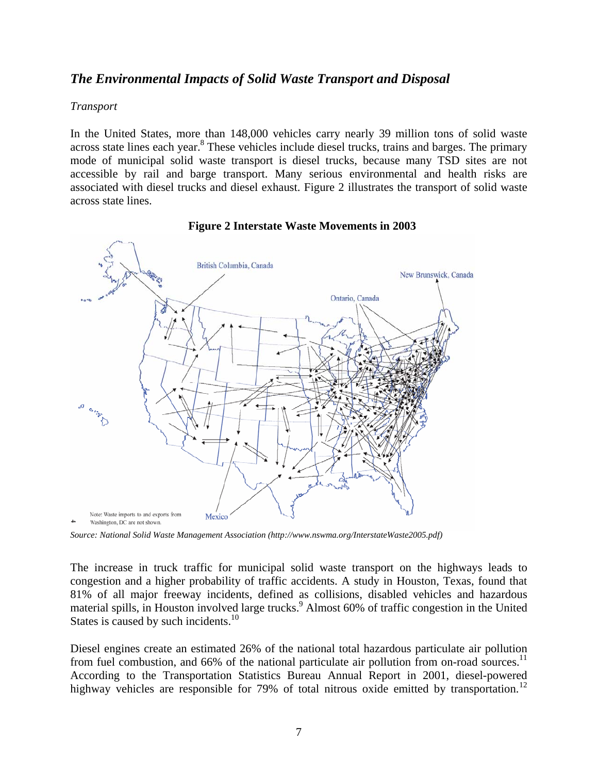## *The Environmental Impacts of Solid Waste Transport and Disposal*

#### *Transport*

In the United States, more than 148,000 vehicles carry nearly 39 million tons of solid waste across state lines each year.<sup>8</sup> These vehicles include diesel trucks, trains and barges. The primary mode of municipal solid waste transport is diesel trucks, because many TSD sites are not accessible by rail and barge transport. Many serious environmental and health risks are associated with diesel trucks and diesel exhaust. Figure 2 illustrates the transport of solid waste across state lines.



#### **Figure 2 Interstate Waste Movements in 2003**

*Source: National Solid Waste Management Association (http://www.nswma.org/InterstateWaste2005.pdf)* 

The increase in truck traffic for municipal solid waste transport on the highways leads to congestion and a higher probability of traffic accidents. A study in Houston, Texas, found that 81% of all major freeway incidents, defined as collisions, disabled vehicles and hazardous material spills, in Houston involved large trucks.<sup>9</sup> Almost 60% of traffic congestion in the United States is caused by such incidents.<sup>10</sup>

Diesel engines create an estimated 26% of the national total hazardous particulate air pollution from fuel combustion, and 66% of the national particulate air pollution from on-road sources.<sup>11</sup> According to the Transportation Statistics Bureau Annual Report in 2001, diesel-powered highway vehicles are responsible for 79% of total nitrous oxide emitted by transportation.<sup>12</sup>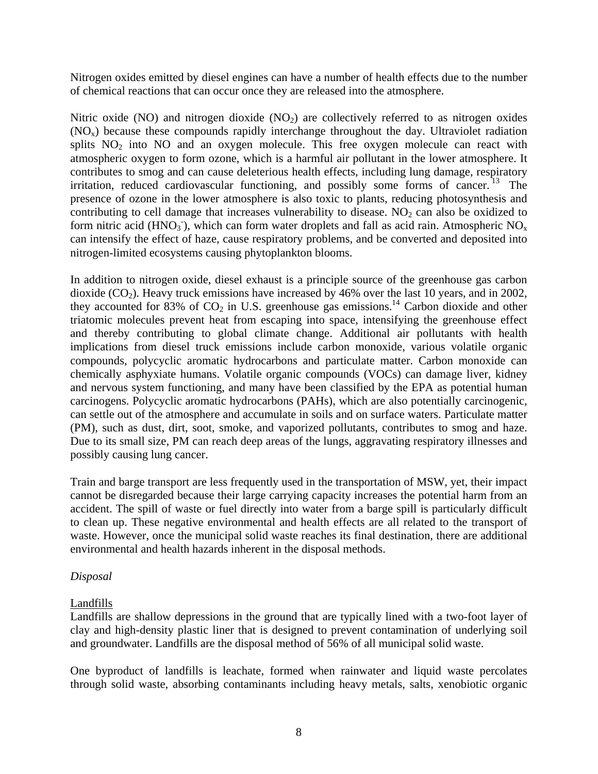Nitrogen oxides emitted by diesel engines can have a number of health effects due to the number of chemical reactions that can occur once they are released into the atmosphere.

Nitric oxide (NO) and nitrogen dioxide ( $NO<sub>2</sub>$ ) are collectively referred to as nitrogen oxides  $(NO_x)$  because these compounds rapidly interchange throughout the day. Ultraviolet radiation splits  $NO<sub>2</sub>$  into  $NO<sub>2</sub>$  and an oxygen molecule. This free oxygen molecule can react with atmospheric oxygen to form ozone, which is a harmful air pollutant in the lower atmosphere. It contributes to smog and can cause deleterious health effects, including lung damage, respiratory irritation, reduced cardiovascular functioning, and possibly some forms of cancer. <sup>13</sup> The presence of ozone in the lower atmosphere is also toxic to plants, reducing photosynthesis and contributing to cell damage that increases vulnerability to disease.  $NO<sub>2</sub>$  can also be oxidized to form nitric acid (HNO<sub>3</sub>), which can form water droplets and fall as acid rain. Atmospheric NO<sub>x</sub> can intensify the effect of haze, cause respiratory problems, and be converted and deposited into nitrogen-limited ecosystems causing phytoplankton blooms.

In addition to nitrogen oxide, diesel exhaust is a principle source of the greenhouse gas carbon dioxide  $(CO<sub>2</sub>)$ . Heavy truck emissions have increased by 46% over the last 10 years, and in 2002, they accounted for 83% of  $CO<sub>2</sub>$  in U.S. greenhouse gas emissions.<sup>14</sup> Carbon dioxide and other triatomic molecules prevent heat from escaping into space, intensifying the greenhouse effect and thereby contributing to global climate change. Additional air pollutants with health implications from diesel truck emissions include carbon monoxide, various volatile organic compounds, polycyclic aromatic hydrocarbons and particulate matter. Carbon monoxide can chemically asphyxiate humans. Volatile organic compounds (VOCs) can damage liver, kidney and nervous system functioning, and many have been classified by the EPA as potential human carcinogens. Polycyclic aromatic hydrocarbons (PAHs), which are also potentially carcinogenic, can settle out of the atmosphere and accumulate in soils and on surface waters. Particulate matter (PM), such as dust, dirt, soot, smoke, and vaporized pollutants, contributes to smog and haze. Due to its small size, PM can reach deep areas of the lungs, aggravating respiratory illnesses and possibly causing lung cancer.

Train and barge transport are less frequently used in the transportation of MSW, yet, their impact cannot be disregarded because their large carrying capacity increases the potential harm from an accident. The spill of waste or fuel directly into water from a barge spill is particularly difficult to clean up. These negative environmental and health effects are all related to the transport of waste. However, once the municipal solid waste reaches its final destination, there are additional environmental and health hazards inherent in the disposal methods.

#### *Disposal*

#### Landfills

Landfills are shallow depressions in the ground that are typically lined with a two-foot layer of clay and high-density plastic liner that is designed to prevent contamination of underlying soil and groundwater. Landfills are the disposal method of 56% of all municipal solid waste.

One byproduct of landfills is leachate, formed when rainwater and liquid waste percolates through solid waste, absorbing contaminants including heavy metals, salts, xenobiotic organic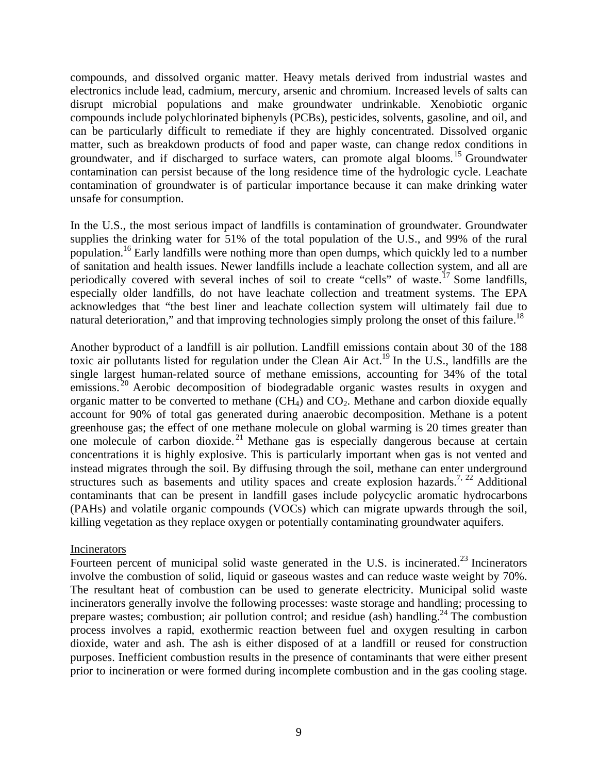compounds, and dissolved organic matter. Heavy metals derived from industrial wastes and electronics include lead, cadmium, mercury, arsenic and chromium. Increased levels of salts can disrupt microbial populations and make groundwater undrinkable. Xenobiotic organic compounds include polychlorinated biphenyls (PCBs), pesticides, solvents, gasoline, and oil, and can be particularly difficult to remediate if they are highly concentrated. Dissolved organic matter, such as breakdown products of food and paper waste, can change redox conditions in groundwater, and if discharged to surface waters, can promote algal blooms.<sup>15</sup> Groundwater contamination can persist because of the long residence time of the hydrologic cycle. Leachate contamination of groundwater is of particular importance because it can make drinking water unsafe for consumption.

In the U.S., the most serious impact of landfills is contamination of groundwater. Groundwater supplies the drinking water for 51% of the total population of the U.S., and 99% of the rural population.<sup>16</sup> Early landfills were nothing more than open dumps, which quickly led to a number of sanitation and health issues. Newer landfills include a leachate collection system, and all are periodically covered with several inches of soil to create "cells" of waste.<sup>17</sup> Some landfills, especially older landfills, do not have leachate collection and treatment systems. The EPA acknowledges that "the best liner and leachate collection system will ultimately fail due to natural deterioration," and that improving technologies simply prolong the onset of this failure.<sup>18</sup>

Another byproduct of a landfill is air pollution. Landfill emissions contain about 30 of the 188 toxic air pollutants listed for regulation under the Clean Air Act.<sup>19</sup> In the U.S., landfills are the single largest human-related source of methane emissions, accounting for 34% of the total emissions.<sup>20</sup> Aerobic decomposition of biodegradable organic wastes results in oxygen and organic matter to be converted to methane  $(CH_4)$  and  $CO_2$ . Methane and carbon dioxide equally account for 90% of total gas generated during anaerobic decomposition. Methane is a potent greenhouse gas; the effect of one methane molecule on global warming is 20 times greater than one molecule of carbon dioxide.<sup>21</sup> Methane gas is especially dangerous because at certain concentrations it is highly explosive. This is particularly important when gas is not vented and instead migrates through the soil. By diffusing through the soil, methane can enter underground structures such as basements and utility spaces and create explosion hazards.<sup>7, 22</sup> Additional contaminants that can be present in landfill gases include polycyclic aromatic hydrocarbons (PAHs) and volatile organic compounds (VOCs) which can migrate upwards through the soil, killing vegetation as they replace oxygen or potentially contaminating groundwater aquifers.

#### Incinerators

Fourteen percent of municipal solid waste generated in the U.S. is incinerated.<sup>23</sup> Incinerators involve the combustion of solid, liquid or gaseous wastes and can reduce waste weight by 70%. The resultant heat of combustion can be used to generate electricity. Municipal solid waste incinerators generally involve the following processes: waste storage and handling; processing to prepare wastes; combustion; air pollution control; and residue (ash) handling.<sup>24</sup> The combustion process involves a rapid, exothermic reaction between fuel and oxygen resulting in carbon dioxide, water and ash. The ash is either disposed of at a landfill or reused for construction purposes. Inefficient combustion results in the presence of contaminants that were either present prior to incineration or were formed during incomplete combustion and in the gas cooling stage.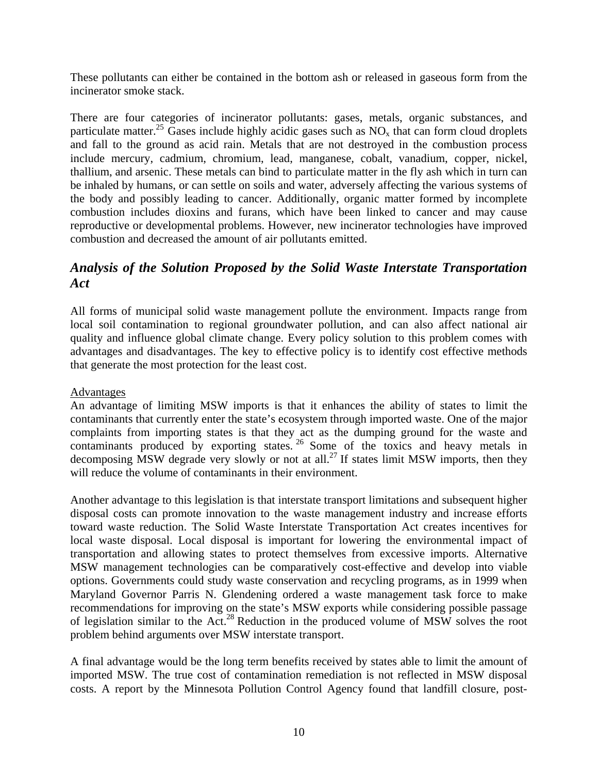These pollutants can either be contained in the bottom ash or released in gaseous form from the incinerator smoke stack.

There are four categories of incinerator pollutants: gases, metals, organic substances, and particulate matter.<sup>25</sup> Gases include highly acidic gases such as  $NO<sub>x</sub>$  that can form cloud droplets and fall to the ground as acid rain. Metals that are not destroyed in the combustion process include mercury, cadmium, chromium, lead, manganese, cobalt, vanadium, copper, nickel, thallium, and arsenic. These metals can bind to particulate matter in the fly ash which in turn can be inhaled by humans, or can settle on soils and water, adversely affecting the various systems of the body and possibly leading to cancer. Additionally, organic matter formed by incomplete combustion includes dioxins and furans, which have been linked to cancer and may cause reproductive or developmental problems. However, new incinerator technologies have improved combustion and decreased the amount of air pollutants emitted.

## *Analysis of the Solution Proposed by the Solid Waste Interstate Transportation Act*

All forms of municipal solid waste management pollute the environment. Impacts range from local soil contamination to regional groundwater pollution, and can also affect national air quality and influence global climate change. Every policy solution to this problem comes with advantages and disadvantages. The key to effective policy is to identify cost effective methods that generate the most protection for the least cost.

#### **Advantages**

An advantage of limiting MSW imports is that it enhances the ability of states to limit the contaminants that currently enter the state's ecosystem through imported waste. One of the major complaints from importing states is that they act as the dumping ground for the waste and contaminants produced by exporting states.<sup>26</sup> Some of the toxics and heavy metals in decomposing MSW degrade very slowly or not at all.<sup>27</sup> If states limit MSW imports, then they will reduce the volume of contaminants in their environment.

Another advantage to this legislation is that interstate transport limitations and subsequent higher disposal costs can promote innovation to the waste management industry and increase efforts toward waste reduction. The Solid Waste Interstate Transportation Act creates incentives for local waste disposal. Local disposal is important for lowering the environmental impact of transportation and allowing states to protect themselves from excessive imports. Alternative MSW management technologies can be comparatively cost-effective and develop into viable options. Governments could study waste conservation and recycling programs, as in 1999 when Maryland Governor Parris N. Glendening ordered a waste management task force to make recommendations for improving on the state's MSW exports while considering possible passage of legislation similar to the Act.28 Reduction in the produced volume of MSW solves the root problem behind arguments over MSW interstate transport.

A final advantage would be the long term benefits received by states able to limit the amount of imported MSW. The true cost of contamination remediation is not reflected in MSW disposal costs. A report by the Minnesota Pollution Control Agency found that landfill closure, post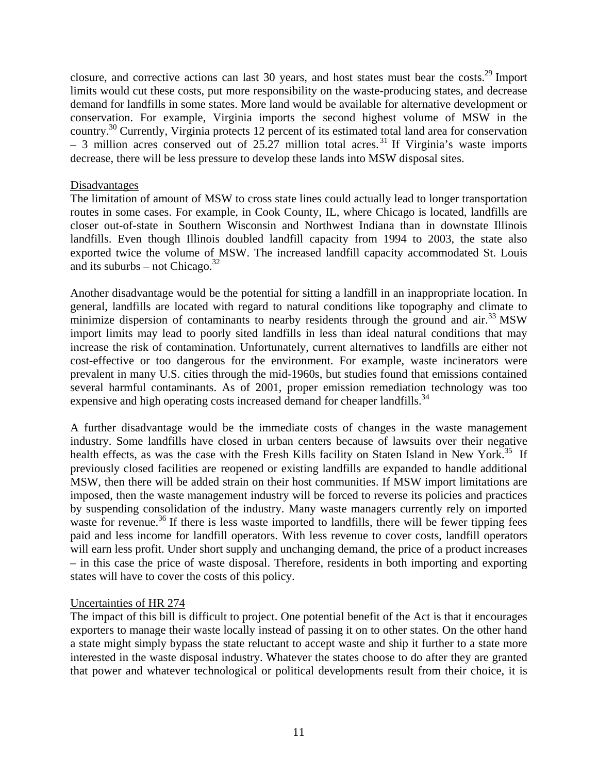closure, and corrective actions can last 30 years, and host states must bear the costs.29 Import limits would cut these costs, put more responsibility on the waste-producing states, and decrease demand for landfills in some states. More land would be available for alternative development or conservation. For example, Virginia imports the second highest volume of MSW in the country.30 Currently, Virginia protects 12 percent of its estimated total land area for conservation  $-$  3 million acres conserved out of 25.27 million total acres.<sup>31</sup> If Virginia's waste imports decrease, there will be less pressure to develop these lands into MSW disposal sites.

#### Disadvantages

The limitation of amount of MSW to cross state lines could actually lead to longer transportation routes in some cases. For example, in Cook County, IL, where Chicago is located, landfills are closer out-of-state in Southern Wisconsin and Northwest Indiana than in downstate Illinois landfills. Even though Illinois doubled landfill capacity from 1994 to 2003, the state also exported twice the volume of MSW. The increased landfill capacity accommodated St. Louis and its suburbs – not Chicago. $^{32}$ 

Another disadvantage would be the potential for sitting a landfill in an inappropriate location. In general, landfills are located with regard to natural conditions like topography and climate to minimize dispersion of contaminants to nearby residents through the ground and air.<sup>33</sup> MSW import limits may lead to poorly sited landfills in less than ideal natural conditions that may increase the risk of contamination. Unfortunately, current alternatives to landfills are either not cost-effective or too dangerous for the environment. For example, waste incinerators were prevalent in many U.S. cities through the mid-1960s, but studies found that emissions contained several harmful contaminants. As of 2001, proper emission remediation technology was too expensive and high operating costs increased demand for cheaper landfills.<sup>34</sup>

A further disadvantage would be the immediate costs of changes in the waste management industry. Some landfills have closed in urban centers because of lawsuits over their negative health effects, as was the case with the Fresh Kills facility on Staten Island in New York.<sup>35</sup> If previously closed facilities are reopened or existing landfills are expanded to handle additional MSW, then there will be added strain on their host communities. If MSW import limitations are imposed, then the waste management industry will be forced to reverse its policies and practices by suspending consolidation of the industry. Many waste managers currently rely on imported waste for revenue.<sup>36</sup> If there is less waste imported to landfills, there will be fewer tipping fees paid and less income for landfill operators. With less revenue to cover costs, landfill operators will earn less profit. Under short supply and unchanging demand, the price of a product increases – in this case the price of waste disposal. Therefore, residents in both importing and exporting states will have to cover the costs of this policy.

#### Uncertainties of HR 274

The impact of this bill is difficult to project. One potential benefit of the Act is that it encourages exporters to manage their waste locally instead of passing it on to other states. On the other hand a state might simply bypass the state reluctant to accept waste and ship it further to a state more interested in the waste disposal industry. Whatever the states choose to do after they are granted that power and whatever technological or political developments result from their choice, it is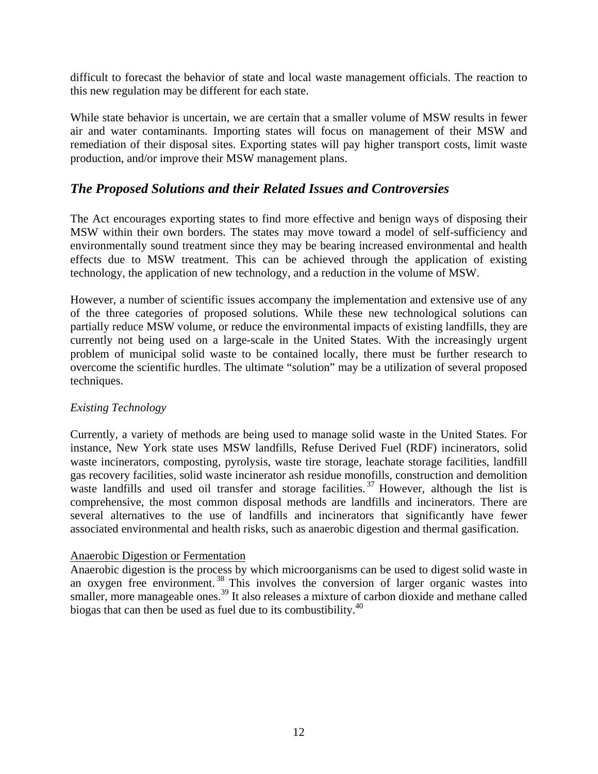difficult to forecast the behavior of state and local waste management officials. The reaction to this new regulation may be different for each state.

While state behavior is uncertain, we are certain that a smaller volume of MSW results in fewer air and water contaminants. Importing states will focus on management of their MSW and remediation of their disposal sites. Exporting states will pay higher transport costs, limit waste production, and/or improve their MSW management plans.

## *The Proposed Solutions and their Related Issues and Controversies*

The Act encourages exporting states to find more effective and benign ways of disposing their MSW within their own borders. The states may move toward a model of self-sufficiency and environmentally sound treatment since they may be bearing increased environmental and health effects due to MSW treatment. This can be achieved through the application of existing technology, the application of new technology, and a reduction in the volume of MSW.

However, a number of scientific issues accompany the implementation and extensive use of any of the three categories of proposed solutions. While these new technological solutions can partially reduce MSW volume, or reduce the environmental impacts of existing landfills, they are currently not being used on a large-scale in the United States. With the increasingly urgent problem of municipal solid waste to be contained locally, there must be further research to overcome the scientific hurdles. The ultimate "solution" may be a utilization of several proposed techniques.

#### *Existing Technology*

Currently, a variety of methods are being used to manage solid waste in the United States. For instance, New York state uses MSW landfills, Refuse Derived Fuel (RDF) incinerators, solid waste incinerators, composting, pyrolysis, waste tire storage, leachate storage facilities, landfill gas recovery facilities, solid waste incinerator ash residue monofills, construction and demolition waste landfills and used oil transfer and storage facilities.<sup>37</sup> However, although the list is comprehensive, the most common disposal methods are landfills and incinerators. There are several alternatives to the use of landfills and incinerators that significantly have fewer associated environmental and health risks, such as anaerobic digestion and thermal gasification.

#### Anaerobic Digestion or Fermentation

Anaerobic digestion is the process by which microorganisms can be used to digest solid waste in an oxygen free environment.<sup>38</sup> This involves the conversion of larger organic wastes into smaller, more manageable ones.<sup>39</sup> It also releases a mixture of carbon dioxide and methane called biogas that can then be used as fuel due to its combustibility.<sup>40</sup>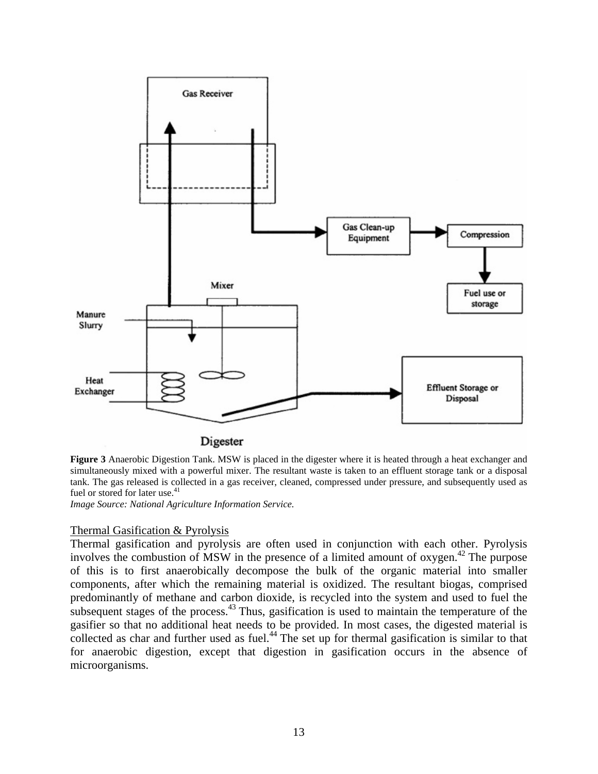

Digester

**Figure 3** Anaerobic Digestion Tank. MSW is placed in the digester where it is heated through a heat exchanger and simultaneously mixed with a powerful mixer. The resultant waste is taken to an effluent storage tank or a disposal tank. The gas released is collected in a gas receiver, cleaned, compressed under pressure, and subsequently used as fuel or stored for later use.<sup>41</sup>

*Image Source: National Agriculture Information Service.* 

#### Thermal Gasification & Pyrolysis

Thermal gasification and pyrolysis are often used in conjunction with each other. Pyrolysis involves the combustion of MSW in the presence of a limited amount of oxygen.<sup>42</sup> The purpose of this is to first anaerobically decompose the bulk of the organic material into smaller components, after which the remaining material is oxidized. The resultant biogas, comprised predominantly of methane and carbon dioxide, is recycled into the system and used to fuel the subsequent stages of the process.<sup>43</sup> Thus, gasification is used to maintain the temperature of the gasifier so that no additional heat needs to be provided. In most cases, the digested material is collected as char and further used as fuel.<sup>44</sup> The set up for thermal gasification is similar to that for anaerobic digestion, except that digestion in gasification occurs in the absence of microorganisms.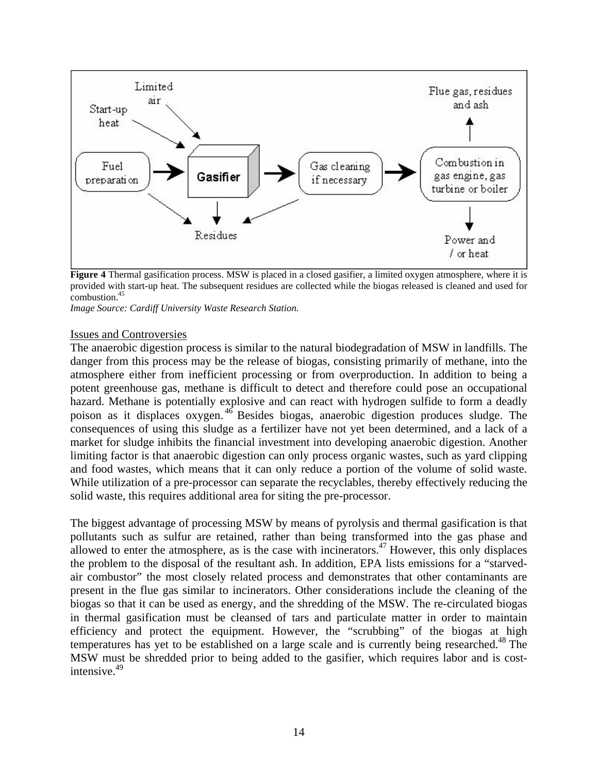

**Figure 4** Thermal gasification process. MSW is placed in a closed gasifier, a limited oxygen atmosphere, where it is provided with start-up heat. The subsequent residues are collected while the biogas released is cleaned and used for combustion.<sup>45</sup>

*Image Source: Cardiff University Waste Research Station.* 

#### Issues and Controversies

The anaerobic digestion process is similar to the natural biodegradation of MSW in landfills. The danger from this process may be the release of biogas, consisting primarily of methane, into the atmosphere either from inefficient processing or from overproduction. In addition to being a potent greenhouse gas, methane is difficult to detect and therefore could pose an occupational hazard. Methane is potentially explosive and can react with hydrogen sulfide to form a deadly poison as it displaces oxygen. 46 Besides biogas, anaerobic digestion produces sludge. The consequences of using this sludge as a fertilizer have not yet been determined, and a lack of a market for sludge inhibits the financial investment into developing anaerobic digestion. Another limiting factor is that anaerobic digestion can only process organic wastes, such as yard clipping and food wastes, which means that it can only reduce a portion of the volume of solid waste. While utilization of a pre-processor can separate the recyclables, thereby effectively reducing the solid waste, this requires additional area for siting the pre-processor.

The biggest advantage of processing MSW by means of pyrolysis and thermal gasification is that pollutants such as sulfur are retained, rather than being transformed into the gas phase and allowed to enter the atmosphere, as is the case with incinerators.<sup>47</sup> However, this only displaces the problem to the disposal of the resultant ash. In addition, EPA lists emissions for a "starvedair combustor" the most closely related process and demonstrates that other contaminants are present in the flue gas similar to incinerators. Other considerations include the cleaning of the biogas so that it can be used as energy, and the shredding of the MSW. The re-circulated biogas in thermal gasification must be cleansed of tars and particulate matter in order to maintain efficiency and protect the equipment. However, the "scrubbing" of the biogas at high temperatures has yet to be established on a large scale and is currently being researched.<sup>48</sup> The MSW must be shredded prior to being added to the gasifier, which requires labor and is costintensive.49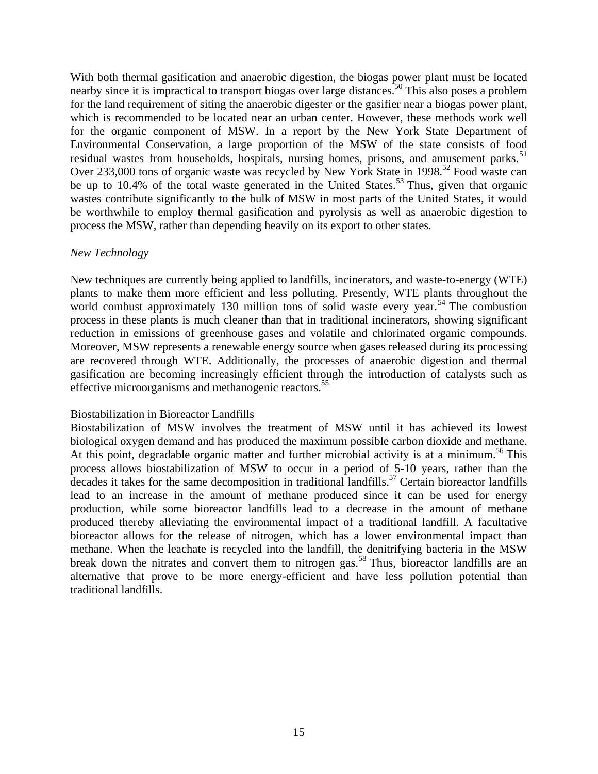With both thermal gasification and anaerobic digestion, the biogas power plant must be located nearby since it is impractical to transport biogas over large distances.<sup>50</sup> This also poses a problem for the land requirement of siting the anaerobic digester or the gasifier near a biogas power plant, which is recommended to be located near an urban center. However, these methods work well for the organic component of MSW. In a report by the New York State Department of Environmental Conservation, a large proportion of the MSW of the state consists of food residual wastes from households, hospitals, nursing homes, prisons, and amusement parks.<sup>51</sup> Over 233,000 tons of organic waste was recycled by New York State in 1998.<sup>52</sup> Food waste can be up to 10.4% of the total waste generated in the United States.<sup>53</sup> Thus, given that organic wastes contribute significantly to the bulk of MSW in most parts of the United States, it would be worthwhile to employ thermal gasification and pyrolysis as well as anaerobic digestion to process the MSW, rather than depending heavily on its export to other states.

#### *New Technology*

New techniques are currently being applied to landfills, incinerators, and waste-to-energy (WTE) plants to make them more efficient and less polluting. Presently, WTE plants throughout the world combust approximately 130 million tons of solid waste every year.<sup>54</sup> The combustion process in these plants is much cleaner than that in traditional incinerators, showing significant reduction in emissions of greenhouse gases and volatile and chlorinated organic compounds. Moreover, MSW represents a renewable energy source when gases released during its processing are recovered through WTE. Additionally, the processes of anaerobic digestion and thermal gasification are becoming increasingly efficient through the introduction of catalysts such as effective microorganisms and methanogenic reactors.<sup>55</sup>

#### Biostabilization in Bioreactor Landfills

Biostabilization of MSW involves the treatment of MSW until it has achieved its lowest biological oxygen demand and has produced the maximum possible carbon dioxide and methane. At this point, degradable organic matter and further microbial activity is at a minimum.<sup>56</sup> This process allows biostabilization of MSW to occur in a period of 5-10 years, rather than the decades it takes for the same decomposition in traditional landfills.<sup>57</sup> Certain bioreactor landfills lead to an increase in the amount of methane produced since it can be used for energy production, while some bioreactor landfills lead to a decrease in the amount of methane produced thereby alleviating the environmental impact of a traditional landfill. A facultative bioreactor allows for the release of nitrogen, which has a lower environmental impact than methane. When the leachate is recycled into the landfill, the denitrifying bacteria in the MSW break down the nitrates and convert them to nitrogen gas.<sup>58</sup> Thus, bioreactor landfills are an alternative that prove to be more energy-efficient and have less pollution potential than traditional landfills.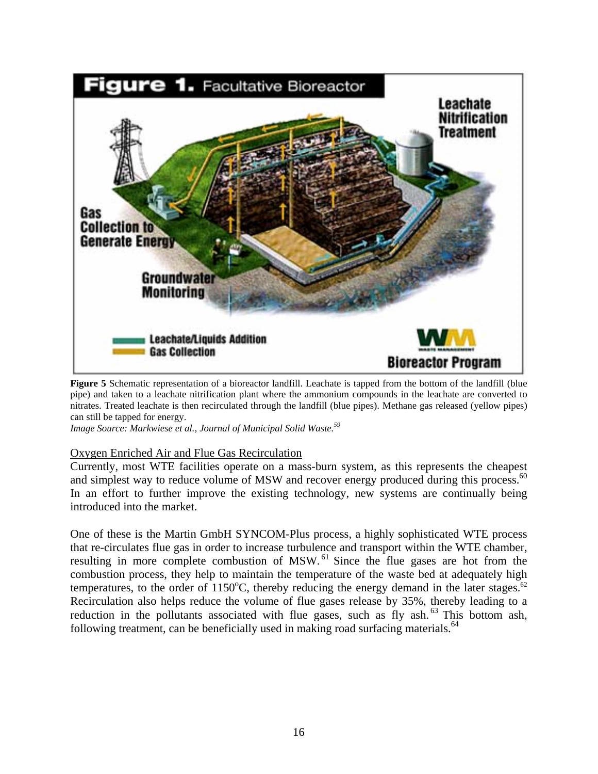

**Figure 5** Schematic representation of a bioreactor landfill. Leachate is tapped from the bottom of the landfill (blue pipe) and taken to a leachate nitrification plant where the ammonium compounds in the leachate are converted to nitrates. Treated leachate is then recirculated through the landfill (blue pipes). Methane gas released (yellow pipes) can still be tapped for energy.

*Image Source: Markwiese et al., Journal of Municipal Solid Waste.59*

#### Oxygen Enriched Air and Flue Gas Recirculation

Currently, most WTE facilities operate on a mass-burn system, as this represents the cheapest and simplest way to reduce volume of MSW and recover energy produced during this process.<sup>60</sup> In an effort to further improve the existing technology, new systems are continually being introduced into the market.

One of these is the Martin GmbH SYNCOM-Plus process, a highly sophisticated WTE process that re-circulates flue gas in order to increase turbulence and transport within the WTE chamber, resulting in more complete combustion of MSW.<sup>61</sup> Since the flue gases are hot from the combustion process, they help to maintain the temperature of the waste bed at adequately high temperatures, to the order of  $1150^{\circ}$ C, thereby reducing the energy demand in the later stages.<sup>62</sup> Recirculation also helps reduce the volume of flue gases release by 35%, thereby leading to a reduction in the pollutants associated with flue gases, such as fly ash.<sup>63</sup> This bottom ash, following treatment, can be beneficially used in making road surfacing materials. $64$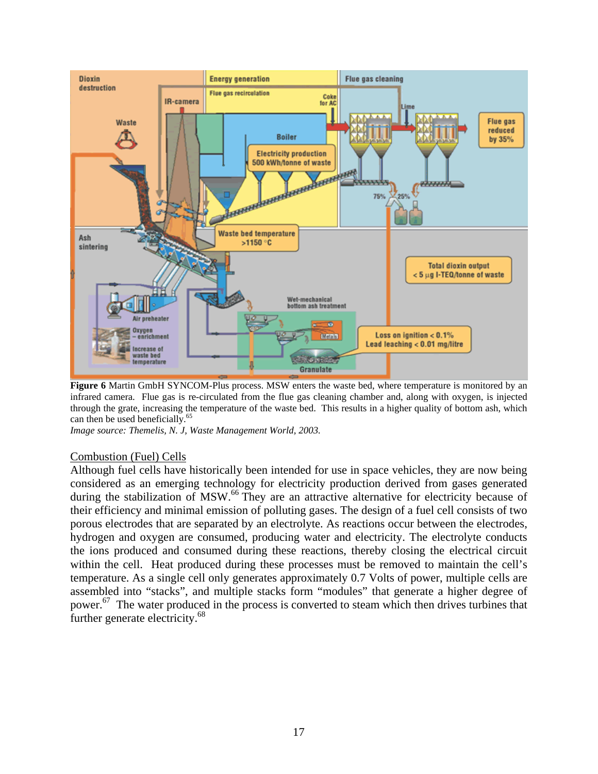

**Figure 6** Martin GmbH SYNCOM-Plus process. MSW enters the waste bed, where temperature is monitored by an infrared camera. Flue gas is re-circulated from the flue gas cleaning chamber and, along with oxygen, is injected through the grate, increasing the temperature of the waste bed. This results in a higher quality of bottom ash, which can then be used beneficially.<sup>65</sup>

*Image source: Themelis, N. J, Waste Management World, 2003.*

#### Combustion (Fuel) Cells

Although fuel cells have historically been intended for use in space vehicles, they are now being considered as an emerging technology for electricity production derived from gases generated during the stabilization of MSW.<sup>66</sup> They are an attractive alternative for electricity because of their efficiency and minimal emission of polluting gases. The design of a fuel cell consists of two porous electrodes that are separated by an electrolyte. As reactions occur between the electrodes, hydrogen and oxygen are consumed, producing water and electricity. The electrolyte conducts the ions produced and consumed during these reactions, thereby closing the electrical circuit within the cell. Heat produced during these processes must be removed to maintain the cell's temperature. As a single cell only generates approximately 0.7 Volts of power, multiple cells are assembled into "stacks", and multiple stacks form "modules" that generate a higher degree of power.67 The water produced in the process is converted to steam which then drives turbines that further generate electricity.<sup>68</sup>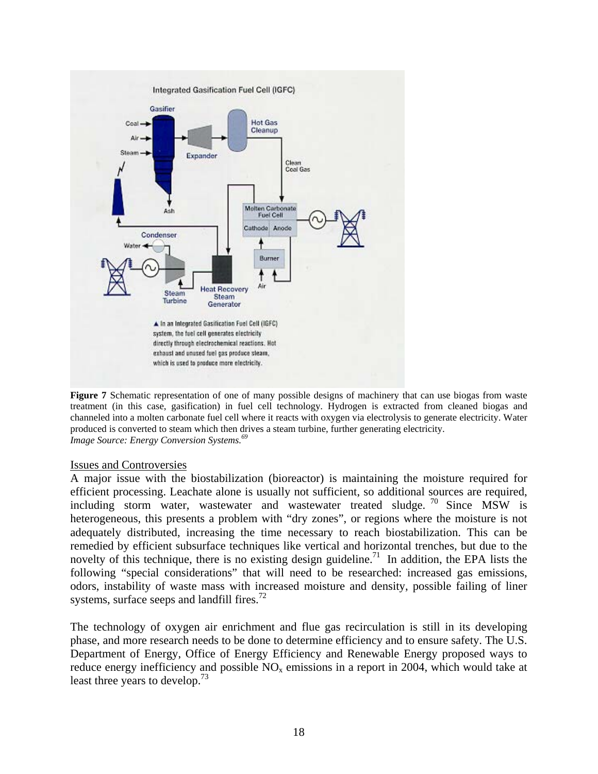

**Figure 7** Schematic representation of one of many possible designs of machinery that can use biogas from waste treatment (in this case, gasification) in fuel cell technology. Hydrogen is extracted from cleaned biogas and channeled into a molten carbonate fuel cell where it reacts with oxygen via electrolysis to generate electricity. Water produced is converted to steam which then drives a steam turbine, further generating electricity. *Image Source: Energy Conversion Systems.69* 

#### Issues and Controversies

A major issue with the biostabilization (bioreactor) is maintaining the moisture required for efficient processing. Leachate alone is usually not sufficient, so additional sources are required, including storm water, wastewater and wastewater treated sludge. 70 Since MSW is heterogeneous, this presents a problem with "dry zones", or regions where the moisture is not adequately distributed, increasing the time necessary to reach biostabilization. This can be remedied by efficient subsurface techniques like vertical and horizontal trenches, but due to the novelty of this technique, there is no existing design guideline.<sup>71</sup> In addition, the EPA lists the following "special considerations" that will need to be researched: increased gas emissions, odors, instability of waste mass with increased moisture and density, possible failing of liner systems, surface seeps and landfill fires.<sup>72</sup>

The technology of oxygen air enrichment and flue gas recirculation is still in its developing phase, and more research needs to be done to determine efficiency and to ensure safety. The U.S. Department of Energy, Office of Energy Efficiency and Renewable Energy proposed ways to reduce energy inefficiency and possible  $NO<sub>x</sub>$  emissions in a report in 2004, which would take at least three years to develop.<sup>73</sup>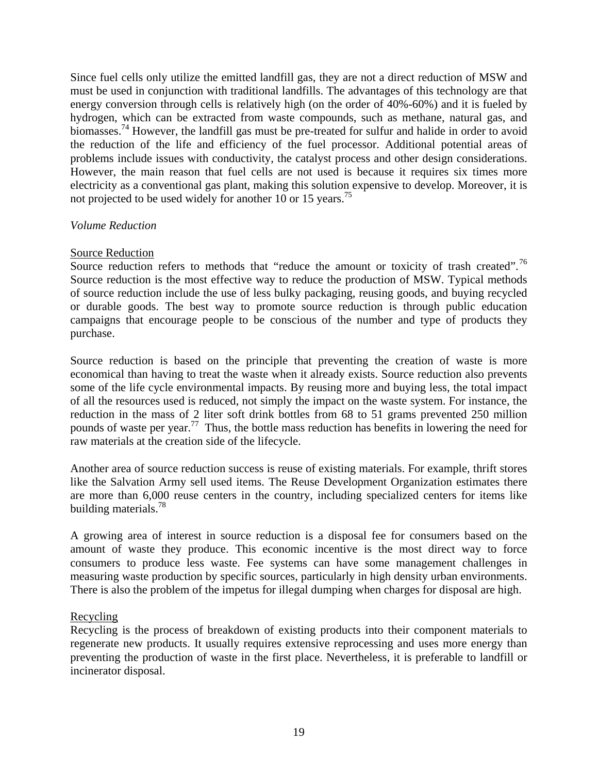Since fuel cells only utilize the emitted landfill gas, they are not a direct reduction of MSW and must be used in conjunction with traditional landfills. The advantages of this technology are that energy conversion through cells is relatively high (on the order of 40%-60%) and it is fueled by hydrogen, which can be extracted from waste compounds, such as methane, natural gas, and biomasses.<sup>74</sup> However, the landfill gas must be pre-treated for sulfur and halide in order to avoid the reduction of the life and efficiency of the fuel processor. Additional potential areas of problems include issues with conductivity, the catalyst process and other design considerations. However, the main reason that fuel cells are not used is because it requires six times more electricity as a conventional gas plant, making this solution expensive to develop. Moreover, it is not projected to be used widely for another 10 or 15 years.<sup>75</sup>

#### *Volume Reduction*

#### Source Reduction

Source reduction refers to methods that "reduce the amount or toxicity of trash created".<sup>76</sup> Source reduction is the most effective way to reduce the production of MSW. Typical methods of source reduction include the use of less bulky packaging, reusing goods, and buying recycled or durable goods. The best way to promote source reduction is through public education campaigns that encourage people to be conscious of the number and type of products they purchase.

Source reduction is based on the principle that preventing the creation of waste is more economical than having to treat the waste when it already exists. Source reduction also prevents some of the life cycle environmental impacts. By reusing more and buying less, the total impact of all the resources used is reduced, not simply the impact on the waste system. For instance, the reduction in the mass of 2 liter soft drink bottles from 68 to 51 grams prevented 250 million pounds of waste per year.<sup>77</sup> Thus, the bottle mass reduction has benefits in lowering the need for raw materials at the creation side of the lifecycle.

Another area of source reduction success is reuse of existing materials. For example, thrift stores like the Salvation Army sell used items. The Reuse Development Organization estimates there are more than 6,000 reuse centers in the country, including specialized centers for items like building materials.<sup>78</sup>

A growing area of interest in source reduction is a disposal fee for consumers based on the amount of waste they produce. This economic incentive is the most direct way to force consumers to produce less waste. Fee systems can have some management challenges in measuring waste production by specific sources, particularly in high density urban environments. There is also the problem of the impetus for illegal dumping when charges for disposal are high.

#### Recycling

Recycling is the process of breakdown of existing products into their component materials to regenerate new products. It usually requires extensive reprocessing and uses more energy than preventing the production of waste in the first place. Nevertheless, it is preferable to landfill or incinerator disposal.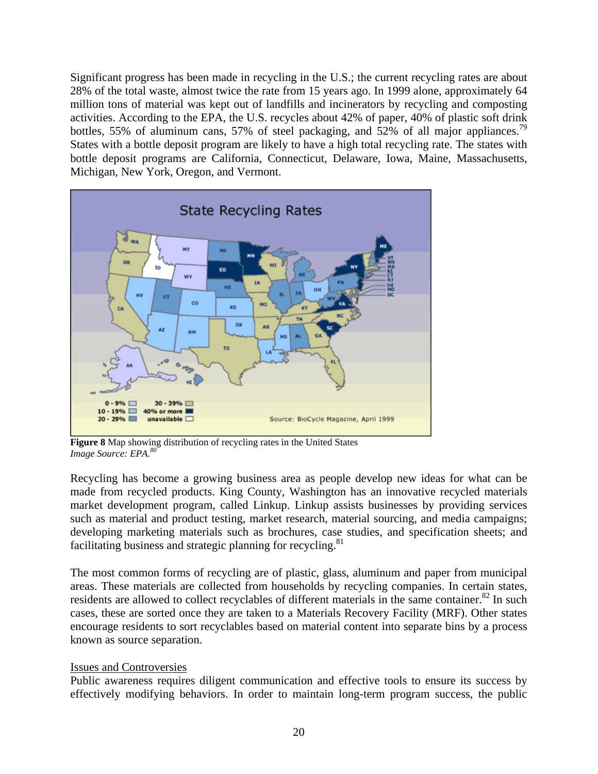Significant progress has been made in recycling in the U.S.; the current recycling rates are about 28% of the total waste, almost twice the rate from 15 years ago. In 1999 alone, approximately 64 million tons of material was kept out of landfills and incinerators by recycling and composting activities. According to the EPA, the U.S. recycles about 42% of paper, 40% of plastic soft drink bottles, 55% of aluminum cans, 57% of steel packaging, and 52% of all major appliances.<sup>79</sup> States with a bottle deposit program are likely to have a high total recycling rate. The states with bottle deposit programs are California, Connecticut, Delaware, Iowa, Maine, Massachusetts, Michigan, New York, Oregon, and Vermont.



**Figure 8** Map showing distribution of recycling rates in the United States *Image Source: EPA.80*

Recycling has become a growing business area as people develop new ideas for what can be made from recycled products. King County, Washington has an innovative recycled materials market development program, called Linkup. Linkup assists businesses by providing services such as material and product testing, market research, material sourcing, and media campaigns; developing marketing materials such as brochures, case studies, and specification sheets; and facilitating business and strategic planning for recycling. $81$ 

The most common forms of recycling are of plastic, glass, aluminum and paper from municipal areas. These materials are collected from households by recycling companies. In certain states, residents are allowed to collect recyclables of different materials in the same container.<sup>82</sup> In such cases, these are sorted once they are taken to a Materials Recovery Facility (MRF). Other states encourage residents to sort recyclables based on material content into separate bins by a process known as source separation.

#### Issues and Controversies

Public awareness requires diligent communication and effective tools to ensure its success by effectively modifying behaviors. In order to maintain long-term program success, the public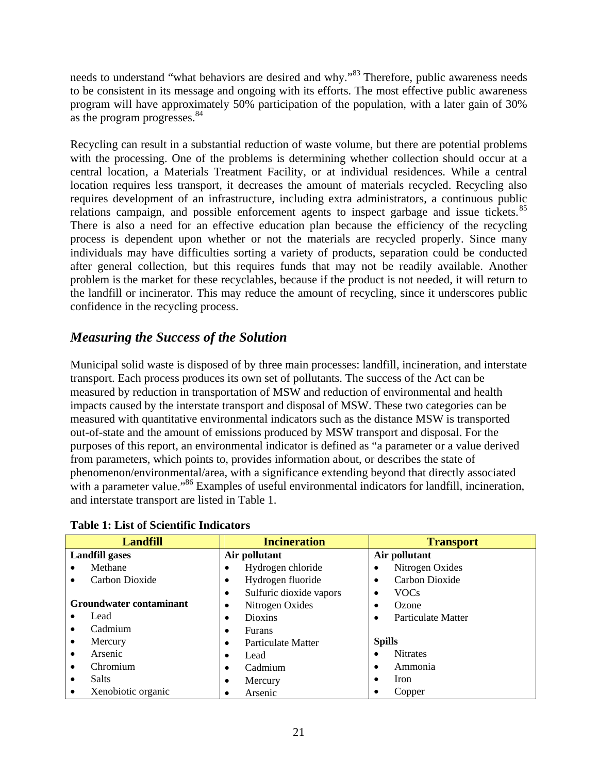needs to understand "what behaviors are desired and why."83 Therefore, public awareness needs to be consistent in its message and ongoing with its efforts. The most effective public awareness program will have approximately 50% participation of the population, with a later gain of 30% as the program progresses.<sup>84</sup>

Recycling can result in a substantial reduction of waste volume, but there are potential problems with the processing. One of the problems is determining whether collection should occur at a central location, a Materials Treatment Facility, or at individual residences. While a central location requires less transport, it decreases the amount of materials recycled. Recycling also requires development of an infrastructure, including extra administrators, a continuous public relations campaign, and possible enforcement agents to inspect garbage and issue tickets.<sup>85</sup> There is also a need for an effective education plan because the efficiency of the recycling process is dependent upon whether or not the materials are recycled properly. Since many individuals may have difficulties sorting a variety of products, separation could be conducted after general collection, but this requires funds that may not be readily available. Another problem is the market for these recyclables, because if the product is not needed, it will return to the landfill or incinerator. This may reduce the amount of recycling, since it underscores public confidence in the recycling process.

## *Measuring the Success of the Solution*

Municipal solid waste is disposed of by three main processes: landfill, incineration, and interstate transport. Each process produces its own set of pollutants. The success of the Act can be measured by reduction in transportation of MSW and reduction of environmental and health impacts caused by the interstate transport and disposal of MSW. These two categories can be measured with quantitative environmental indicators such as the distance MSW is transported out-of-state and the amount of emissions produced by MSW transport and disposal. For the purposes of this report, an environmental indicator is defined as "a parameter or a value derived from parameters, which points to, provides information about, or describes the state of phenomenon/environmental/area, with a significance extending beyond that directly associated with a parameter value."<sup>86</sup> Examples of useful environmental indicators for landfill, incineration, and interstate transport are listed in Table 1.

| <b>Landfill</b>           | <b>Incineration</b>                  | <b>Transport</b>          |  |
|---------------------------|--------------------------------------|---------------------------|--|
| <b>Landfill gases</b>     | Air pollutant                        | Air pollutant             |  |
| Methane                   | Hydrogen chloride<br>$\bullet$       | Nitrogen Oxides           |  |
| Carbon Dioxide            | Hydrogen fluoride<br>٠               | Carbon Dioxide            |  |
|                           | Sulfuric dioxide vapors<br>$\bullet$ | <b>VOCs</b>               |  |
| Groundwater contaminant   | Nitrogen Oxides<br>$\bullet$         | Ozone                     |  |
| Lead                      | <b>Dioxins</b><br>٠                  | <b>Particulate Matter</b> |  |
| Cadmium                   | <b>Furans</b>                        |                           |  |
| Mercury                   | Particulate Matter<br>$\bullet$      | <b>Spills</b>             |  |
| Arsenic                   | Lead                                 | <b>Nitrates</b>           |  |
| Chromium                  | Cadmium<br>٠                         | Ammonia                   |  |
| <b>Salts</b><br>$\bullet$ | Mercury<br>$\bullet$                 | <b>Iron</b>               |  |
| Xenobiotic organic        | Arsenic<br>٠                         | Copper                    |  |

**Table 1: List of Scientific Indicators**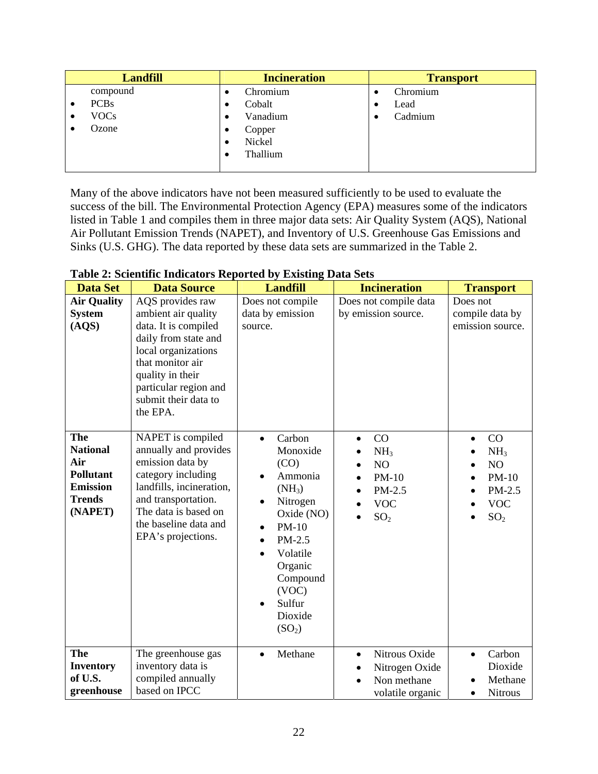| <b>Landfill</b> |             | <b>Incineration</b> | <b>Transport</b> |
|-----------------|-------------|---------------------|------------------|
|                 | compound    | Chromium<br>٠       | Chromium         |
|                 | <b>PCBs</b> | Cobalt<br>٠         | Lead             |
|                 | <b>VOCs</b> | Vanadium<br>٠       | Cadmium          |
|                 | Ozone       | Copper<br>٠         |                  |
|                 |             | Nickel<br>٠         |                  |
|                 |             | Thallium            |                  |
|                 |             |                     |                  |

Many of the above indicators have not been measured sufficiently to be used to evaluate the success of the bill. The Environmental Protection Agency (EPA) measures some of the indicators listed in Table 1 and compiles them in three major data sets: Air Quality System (AQS), National Air Pollutant Emission Trends (NAPET), and Inventory of U.S. Greenhouse Gas Emissions and Sinks (U.S. GHG). The data reported by these data sets are summarized in the Table 2.

| <b>Data Set</b>                                                                                         | <b>Data Source</b>                                                                                                                                                                                                  | <b>Landfill</b>                                                                                                                                                                                                                               | <b>Incineration</b>                                                                                                     | <b>Transport</b>                                                                               |
|---------------------------------------------------------------------------------------------------------|---------------------------------------------------------------------------------------------------------------------------------------------------------------------------------------------------------------------|-----------------------------------------------------------------------------------------------------------------------------------------------------------------------------------------------------------------------------------------------|-------------------------------------------------------------------------------------------------------------------------|------------------------------------------------------------------------------------------------|
| <b>Air Quality</b><br><b>System</b><br>(AQS)                                                            | AQS provides raw<br>ambient air quality<br>data. It is compiled<br>daily from state and<br>local organizations<br>that monitor air<br>quality in their<br>particular region and<br>submit their data to<br>the EPA. | Does not compile<br>data by emission<br>source.                                                                                                                                                                                               | Does not compile data<br>by emission source.                                                                            | Does not<br>compile data by<br>emission source.                                                |
| <b>The</b><br><b>National</b><br>Air<br><b>Pollutant</b><br><b>Emission</b><br><b>Trends</b><br>(NAPET) | NAPET is compiled<br>annually and provides<br>emission data by<br>category including<br>landfills, incineration,<br>and transportation.<br>The data is based on<br>the baseline data and<br>EPA's projections.      | Carbon<br>$\bullet$<br>Monoxide<br>(CO)<br>Ammonia<br>$(NH_3)$<br>Nitrogen<br>$\bullet$<br>Oxide (NO)<br>$PM-10$<br>$\bullet$<br>$PM-2.5$<br>$\bullet$<br>Volatile<br>Organic<br>Compound<br>(VOC)<br>Sulfur<br>Dioxide<br>(SO <sub>2</sub> ) | CO<br>$\bullet$<br>NH <sub>3</sub><br>$\bullet$<br>N <sub>O</sub><br>$PM-10$<br>PM-2.5<br><b>VOC</b><br>SO <sub>2</sub> | CO<br>$\bullet$<br>NH <sub>3</sub><br>NO<br>$PM-10$<br>PM-2.5<br><b>VOC</b><br>SO <sub>2</sub> |
| <b>The</b><br><b>Inventory</b><br>of U.S.<br>greenhouse                                                 | The greenhouse gas<br>inventory data is<br>compiled annually<br>based on IPCC                                                                                                                                       | Methane<br>$\bullet$                                                                                                                                                                                                                          | Nitrous Oxide<br>$\bullet$<br>Nitrogen Oxide<br>Non methane<br>volatile organic                                         | Carbon<br>$\bullet$<br>Dioxide<br>Methane<br><b>Nitrous</b><br>$\bullet$                       |

**Table 2: Scientific Indicators Reported by Existing Data Sets**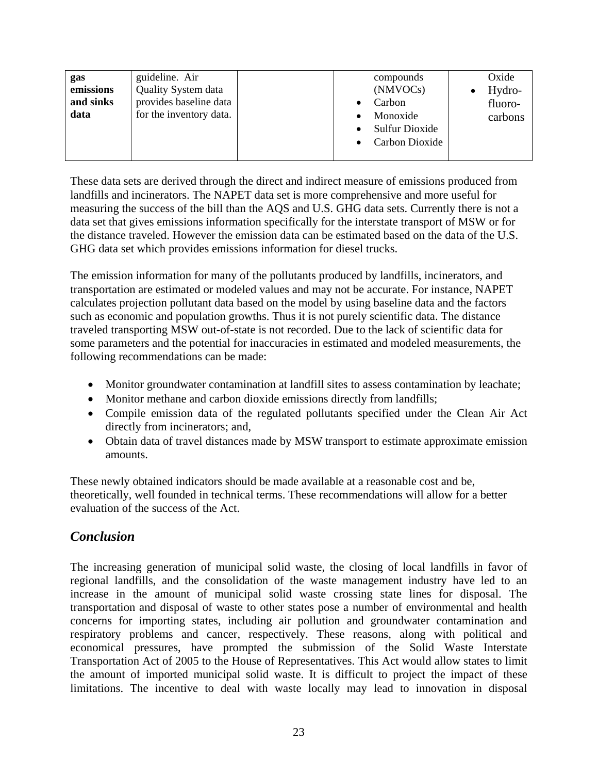| guideline. Air<br>gas<br>emissions<br><b>Quality System data</b><br>provides baseline data<br>and sinks<br>Carbon<br>for the inventory data.<br>data<br>Monoxide | Oxide<br>compounds<br>(NMVOCs)<br>Hydro-<br>fluoro-<br>carbons<br>Sulfur Dioxide<br>Carbon Dioxide |
|------------------------------------------------------------------------------------------------------------------------------------------------------------------|----------------------------------------------------------------------------------------------------|
|------------------------------------------------------------------------------------------------------------------------------------------------------------------|----------------------------------------------------------------------------------------------------|

These data sets are derived through the direct and indirect measure of emissions produced from landfills and incinerators. The NAPET data set is more comprehensive and more useful for measuring the success of the bill than the AQS and U.S. GHG data sets. Currently there is not a data set that gives emissions information specifically for the interstate transport of MSW or for the distance traveled. However the emission data can be estimated based on the data of the U.S. GHG data set which provides emissions information for diesel trucks.

The emission information for many of the pollutants produced by landfills, incinerators, and transportation are estimated or modeled values and may not be accurate. For instance, NAPET calculates projection pollutant data based on the model by using baseline data and the factors such as economic and population growths. Thus it is not purely scientific data. The distance traveled transporting MSW out-of-state is not recorded. Due to the lack of scientific data for some parameters and the potential for inaccuracies in estimated and modeled measurements, the following recommendations can be made:

- Monitor groundwater contamination at landfill sites to assess contamination by leachate;
- Monitor methane and carbon dioxide emissions directly from landfills;
- Compile emission data of the regulated pollutants specified under the Clean Air Act directly from incinerators; and,
- Obtain data of travel distances made by MSW transport to estimate approximate emission amounts.

These newly obtained indicators should be made available at a reasonable cost and be, theoretically, well founded in technical terms. These recommendations will allow for a better evaluation of the success of the Act.

## *Conclusion*

The increasing generation of municipal solid waste, the closing of local landfills in favor of regional landfills, and the consolidation of the waste management industry have led to an increase in the amount of municipal solid waste crossing state lines for disposal. The transportation and disposal of waste to other states pose a number of environmental and health concerns for importing states, including air pollution and groundwater contamination and respiratory problems and cancer, respectively. These reasons, along with political and economical pressures, have prompted the submission of the Solid Waste Interstate Transportation Act of 2005 to the House of Representatives. This Act would allow states to limit the amount of imported municipal solid waste. It is difficult to project the impact of these limitations. The incentive to deal with waste locally may lead to innovation in disposal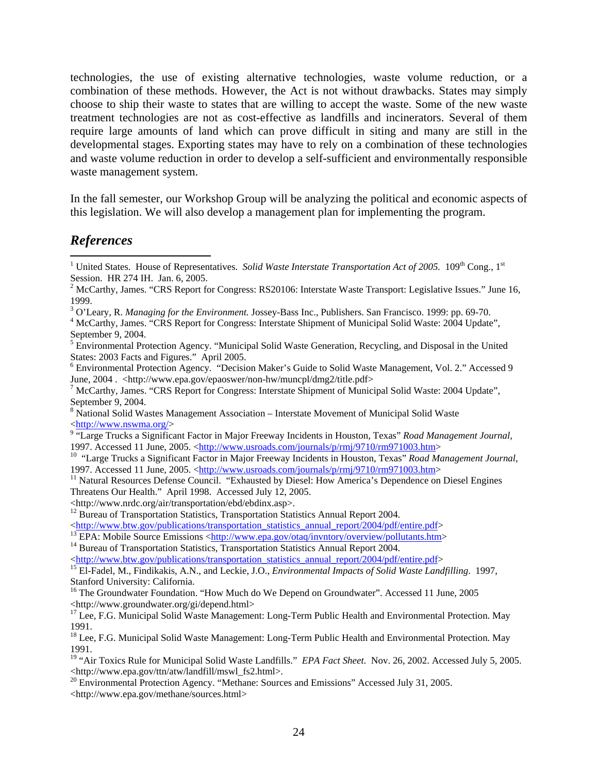technologies, the use of existing alternative technologies, waste volume reduction, or a combination of these methods. However, the Act is not without drawbacks. States may simply choose to ship their waste to states that are willing to accept the waste. Some of the new waste treatment technologies are not as cost-effective as landfills and incinerators. Several of them require large amounts of land which can prove difficult in siting and many are still in the developmental stages. Exporting states may have to rely on a combination of these technologies and waste volume reduction in order to develop a self-sufficient and environmentally responsible waste management system.

In the fall semester, our Workshop Group will be analyzing the political and economic aspects of this legislation. We will also develop a management plan for implementing the program.

## *References*

 $\overline{a}$ 

- <sup>8</sup> National Solid Wastes Management Association Interstate Movement of Municipal Solid Waste  $\langle$ http://www.nswma.org/ $>$
- <sup>9</sup> "Large Trucks a Significant Factor in Major Freeway Incidents in Houston, Texas" *Road Management Journal*, 1997. Accessed 11 June, 2005. <http://www.usroads.com/journals/p/rmj/9710/rm971003.htm>
<sup>10</sup> "Large Trucks a Significant Factor in Major Freeway Incidents in Houston, Texas" *Road Management Journal*,
- 1997. Accessed 11 June, 2005. <http://www.usroads.com/journals/p/rmj/9710/rm971003.htm><br><sup>11</sup> Natural Resources Defense Council. "Exhausted by Diesel: How America's Dependence on Diesel Engines
- Threatens Our Health." April 1998. Accessed July 12, 2005.
- 

- 
- <http://www.btw.gov/publications/transportation\_statistics\_annual\_report/2004/pdf/entire.pdf><br>
<sup>13</sup> EPA: Mobile Source Emissions <http://www.epa.gov/otaq/invntory/overview/pollutants.htm><br>
<sup>14</sup> Bureau of Transportation Sta
- 

<sup>16</sup> The Groundwater Foundation. "How Much do We Depend on Groundwater". Accessed 11 June, 2005 <http://www.groundwater.org/gi/depend.html>

<sup>17</sup> Lee, F.G. Municipal Solid Waste Management: Long-Term Public Health and Environmental Protection. May 1991.

<sup>18</sup> Lee, F.G. Municipal Solid Waste Management: Long-Term Public Health and Environmental Protection. May 1991.

<sup>&</sup>lt;sup>1</sup> United States. House of Representatives. *Solid Waste Interstate Transportation Act of 2005*. 109<sup>th</sup> Cong., 1<sup>st</sup> Session. HR 274 IH. Jan. 6, 2005.

<sup>&</sup>lt;sup>2</sup> McCarthy, James. "CRS Report for Congress: RS20106: Interstate Waste Transport: Legislative Issues." June 16, 1999.

<sup>&</sup>lt;sup>3</sup> O'Leary, R. *Managing for the Environment*. Jossey-Bass Inc., Publishers. San Francisco. 1999: pp. 69-70.<br><sup>4</sup> McCerthy, James. "CBS Benert for Congress: Interstate Shipment of Municipal Solid Wester 2004 Undete

<sup>&</sup>lt;sup>4</sup> McCarthy, James. "CRS Report for Congress: Interstate Shipment of Municipal Solid Waste: 2004 Update", September 9, 2004.

<sup>&</sup>lt;sup>5</sup> Environmental Protection Agency. "Municipal Solid Waste Generation, Recycling, and Disposal in the United States: 2003 Facts and Figures." April 2005.

<sup>&</sup>lt;sup>6</sup> Environmental Protection Agency. "Decision Maker's Guide to Solid Waste Management, Vol. 2." Accessed 9 June, 2004 . <http://www.epa.gov/epaoswer/non-hw/muncpl/dmg2/title.pdf>

<sup>&</sup>lt;sup>7</sup> McCarthy, James. "CRS Report for Congress: Interstate Shipment of Municipal Solid Waste: 2004 Update", September 9, 2004.

<sup>&</sup>lt;http://www.nrdc.org/air/transportation/ebd/ebdinx.asp>. 12 Bureau of Transportation Statistics, Transportation Statistics Annual Report 2004.

<sup>&</sup>lt;sup>15</sup> El-Fadel, M., Findikakis, A.N., and Leckie, J.O., *Environmental Impacts of Solid Waste Landfilling*. 1997, Stanford University: California.

<sup>&</sup>lt;sup>19</sup> "Air Toxics Rule for Municipal Solid Waste Landfills." *EPA Fact Sheet*. Nov. 26, 2002. Accessed July 5, 2005. <http://www.epa.gov/ttn/atw/landfill/mswl\_fs2.html>.

<sup>&</sup>lt;sup>20</sup> Environmental Protection Agency. "Methane: Sources and Emissions" Accessed July 31, 2005. <http://www.epa.gov/methane/sources.html>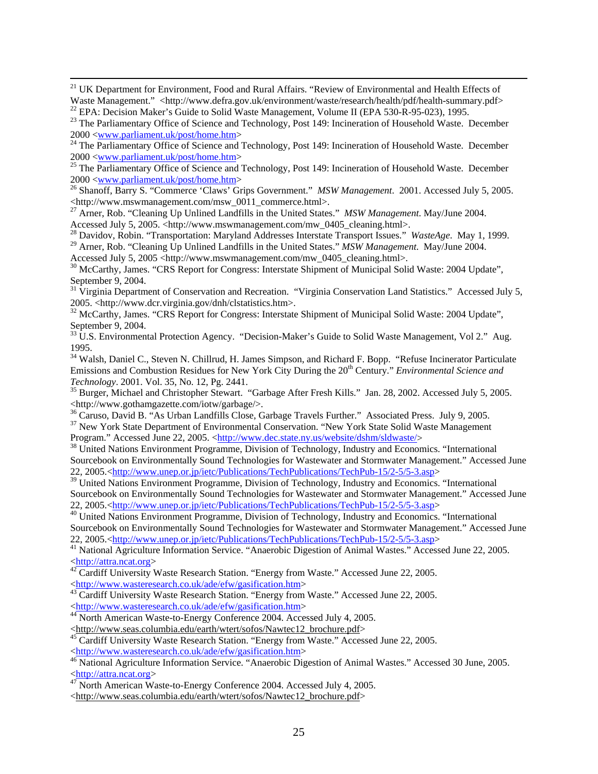<sup>21</sup> UK Department for Environment, Food and Rural Affairs. "Review of Environmental and Health Effects of Waste Management." <http://www.defra.gov.uk/environment/waste/research/health/pdf/health-summary.pdf>
<sup>22</sup> EPA: Decision Maker's Guide to Solid Waste Management, Volume II (EPA 530-R-95-023), 1995.

2000 <www.parliament.uk/post/home.htm> 26 Shanoff, Barry S. "Commerce 'Claws' Grips Government." *MSW Management*. 2001. Accessed July 5, 2005. <http://www.mswmanagement.com/msw\_0011\_commerce.html>.

27 Arner, Rob. "Cleaning Up Unlined Landfills in the United States." *MSW Management*. May/June 2004. Accessed July 5, 2005. <http://www.mswmanagement.com/mw\_0405\_cleaning.html>.

28 Davidov, Robin. "Transportation: Maryland Addresses Interstate Transport Issues." *WasteAge*. May 1, 1999.

<sup>29</sup> Arner, Rob. "Cleaning Up Unlined Landfills in the United States." MSW Management. May/June 2004.

Accessed July 5, 2005 <http://www.mswmanagement.com/mw\_0405\_cleaning.html>.

<sup>30</sup> McCarthy, James. "CRS Report for Congress: Interstate Shipment of Municipal Solid Waste: 2004 Update", September 9, 2004.

<sup>31</sup> Virginia Department of Conservation and Recreation. "Virginia Conservation Land Statistics." Accessed July 5, 2005. <http://www.dcr.virginia.gov/dnh/clstatistics.htm>.

<sup>32</sup> McCarthy, James. "CRS Report for Congress: Interstate Shipment of Municipal Solid Waste: 2004 Update", September 9, 2004.

 $33 \text{ U.S. Environmental Protection Agency. }$  "Decision-Maker's Guide to Solid Waste Management, Vol 2." Aug. 1995.

<sup>34</sup> Walsh, Daniel C., Steven N. Chillrud, H. James Simpson, and Richard F. Bopp. "Refuse Incinerator Particulate Emissions and Combustion Residues for New York City During the 20<sup>th</sup> Century." *Environmental Science and* 

*Technology*. 2001. Vol. 35, No. 12, Pg. 2441.<br><sup>35</sup> Burger, Michael and Christopher Stewart. "Garbage After Fresh Kills." Jan. 28, 2002. Accessed July 5, 2005.<br><http://www.gothamgazette.com/iotw/garbage/>.

<sup>36</sup> Caruso, David B. "As Urban Landfills Close, Garbage Travels Further." Associated Press. July 9, 2005.<br><sup>37</sup> New York State Department of Environmental Conservation. "New York State Solid Waste Management<br>Program." Acc

<sup>38</sup> United Nations Environment Programme, Division of Technology, Industry and Economics. "International Sourcebook on Environmentally Sound Technologies for Wastewater and Stormwater Management." Accessed June 22, 2005.<http://www.unep.or.jp/ietc/Publications/TechPublications/TechPub-15/2-5/5-3.asp>

<sup>39</sup> United Nations Environment Programme, Division of Technology, Industry and Economics. "International" Sourcebook on Environmentally Sound Technologies for Wastewater and Stormwater Management." Accessed June 22, 2005. <http://www.unep.or.jp/ietc/Publications/TechPublications/TechPub-15/2-5/5-3.asp>

<sup>40</sup> United Nations Environment Programme, Division of Technology, Industry and Economics. "International Sourcebook on Environmentally Sound Technologies for Wastewater and Stormwater Management." Accessed June 22, 2005. <http://www.unep.or.jp/ietc/Publications/TechPublications/TechPub-15/2-5/5-3.asp>

<sup>41</sup> National Agriculture Information Service. "Anaerobic Digestion of Animal Wastes." Accessed June 22, 2005. <http://attra.ncat.org> 42 Cardiff University Waste Research Station. "Energy from Waste." Accessed June 22, 2005.

<http://www.wasteresearch.co.uk/ade/efw/gasification.htm> 43 Cardiff University Waste Research Station. "Energy from Waste." Accessed June 22, 2005.

<http://www.wasteresearch.co.uk/ade/efw/gasification.htm> 44 North American Waste-to-Energy Conference 2004. Accessed July 4, 2005.

- 
- 

<sup>45</sup> Cardiff University Waste Research Station. "Energy from Waste." Accessed June 22, 2005.<br>
<http://www.wasteresearch.co.uk/ade/efw/gasification.htm>

<http://www.seas.columbia.edu/earth/wtert/sofos/Nawtec12\_brochure.pdf>

<sup>&</sup>lt;sup>23</sup> The Parliamentary Office of Science and Technology, Post 149: Incineration of Household Waste. December  $2000 \leq$ www.parliament.uk/post/home.htm>

<sup>&</sup>lt;sup>24</sup> The Parliamentary Office of Science and Technology, Post 149: Incineration of Household Waste. December 2000  $\langle$ www.parliament.uk/post/home.htm>

<sup>&</sup>lt;sup>25</sup> The Parliamentary Office of Science and Technology, Post 149: Incineration of Household Waste. December

 $\frac{46}{\text{National Agriculture Information Service}}$ . "Anaerobic Digestion of Animal Wastes." Accessed 30 June, 2005. <http://attra.ncat.org> 47 North American Waste-to-Energy Conference 2004. Accessed July 4, 2005.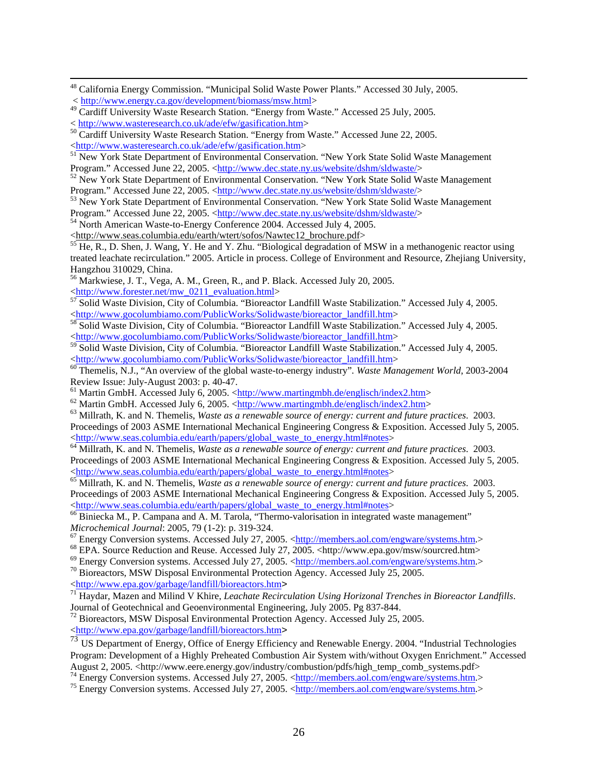<sup>48</sup> California Energy Commission. "Municipal Solid Waste Power Plants." Accessed 30 July, 2005. < http://www.energy.ca.gov/development/biomass/msw.html>

Program." Accessed June 22, 2005. <http://www.dec.state.ny.us/website/dshm/sldwaste/>
<sup>54</sup> North American Waste-to-Energy Conference 2004. Accessed July 4, 2005.

<http://www.seas.columbia.edu/earth/wtert/sofos/Nawtec12\_brochure.pdf> 55 He, R., D. Shen, J. Wang, Y. He and Y. Zhu. "Biological degradation of MSW in a methanogenic reactor using treated leachate recirculation." 2005. Article in process. College of Environment and Resource, Zhejiang University, Hangzhou 310029, China.

56 Markwiese, J. T., Vega, A. M., Green, R., and P. Black. Accessed July 20, 2005.

\ttp://www.forester.net/mw\_0211\_evaluation.html><br>
57 Solid Waste Division, City of Columbia. "Bioreactor Landfill Waste Stabilization." Accessed July 4, 2005.<br>
<http://www.gocolumbiamo.com/PublicWorks/Solidwaste/bioreactor

sand Salid Waste Division, City of Columbia. "Bioreactor Landfill Waste Stabilization." Accessed July 4, 2005. <http://www.gocolumbiamo.com/PublicWorks/Solidwaste/bioreactor\_landfill.htm>

<sup>59</sup> Solid Waste Division, City of Columbia. "Bioreactor Landfill Waste Stabilization." Accessed July 4, 2005. <http://www.gocolumbiamo.com/PublicWorks/Solidwaste/bioreactor\_landfill.htm> 60 Themelis, N.J., "An overview of the global waste-to-energy industry"*. Waste Management World*, 2003-2004

Review Issue: July-August 2003: p. 40-47.<br>
<sup>61</sup> Martin GmbH. Accessed July 6, 2005. <http://www.martingmbh.de/englisch/index2.htm>

<sup>62</sup> Martin GmbH. Accessed July 6, 2005. < $\frac{\text{http://www.martingmbh.de/englisch/index2.htm}}{\text{Millrath, K. and N. Themelis, *Waste as a renewable source of energy: current and future practices*. 2003.}$ 

Proceedings of 2003 ASME International Mechanical Engineering Congress & Exposition. Accessed July 5, 2005.<br>
<http://www.seas.columbia.edu/earth/papers/global waste to energy.html#notes>

<sup>64</sup> Millrath, K. and N. Themelis, *Waste as a renewable source of energy: current and future practices*. 2003. Proceedings of 2003 ASME International Mechanical Engineering Congress & Exposition. Accessed July 5, 2005.<br>
<http://www.seas.columbia.edu/earth/papers/global waste to energy.html#notes>

<sup>65</sup> Millrath, K. and N. Themelis, *Waste as a renewable source of energy: current and future practices.* 2003. Proceedings of 2003 ASME International Mechanical Engineering Congress & Exposition. Accessed July 5, 2005.<br>
<http://www.seas.columbia.edu/earth/papers/global waste to energy.html#notes>

 $\frac{66}{66}$ Biniecka M., P. Campana and A. M. Tarola, "Thermo-valorisation in integrated waste management"<br>Microchemical Journal: 2005, 79 (1-2): p. 319-324.

<sup>67</sup> Energy Conversion systems. Accessed July 27, 2005. <<u>http://members.aol.com/engware/systems.htm</u>.>
<sup>68</sup> EPA. Source Reduction and Reuse. Accessed July 27, 2005. <http://www.epa.gov/msw/sourcred.htm>
<sup>69</sup> Energy Conve

<sup>71</sup> Haydar, Mazen and Milind V Khire, *Leachate Recirculation Using Horizonal Trenches in Bioreactor Landfills*. Journal of Geotechnical and Geoenvironmental Engineering, July 2005. Pg 837-844.

<sup>72</sup> Bioreactors, MSW Disposal Environmental Protection Agency. Accessed July 25, 2005.<br>
<http://www.epa.gov/garbage/landfill/bioreactors.htm>

 $\frac{1}{\sqrt{3}}$  US Department of Energy, Office of Energy Efficiency and Renewable Energy. 2004. "Industrial Technologies Program: Development of a Highly Preheated Combustion Air System with/without Oxygen Enrichment." Accessed August 2, 2005. <http://www.eere.energy.gov/industry/combustion/pdfs/high\_temp\_comb\_systems.pdf><br><sup>74</sup> Energy Conversion systems. Accessed July 27, 2005. <http://members.aol.com/engware/systems.htm.><br><sup>75</sup> Energy Conversion

<sup>&</sup>lt;sup>49</sup> Cardiff University Waste Research Station. "Energy from Waste." Accessed 25 July, 2005.

<sup>%</sup> http://www.wasteresearch.co.uk/ade/efw/gasification.htm><br>
<sup>50</sup> Cardiff University Waste Research Station. "Energy from Waste." Accessed June 22, 2005.<br>
<http://www.wasteresearch.co.uk/ade/efw/gasification.htm>

<sup>&</sup>lt;sup>51</sup> New York State Department of Environmental Conservation. "New York State Solid Waste Management Program." Accessed June 22, 2005. <http://www.dec.state.ny.us/website/dshm/sldwaste/>
<sup>52</sup> New York State Department of Environmental Conservation. "New York State Solid Waste Management

Program." Accessed June 22, 2005. <http://www.dec.state.ny.us/website/dshm/sldwaste/>
<sup>53</sup> New York State Department of Environmental Conservation. "New York State Solid Waste Management